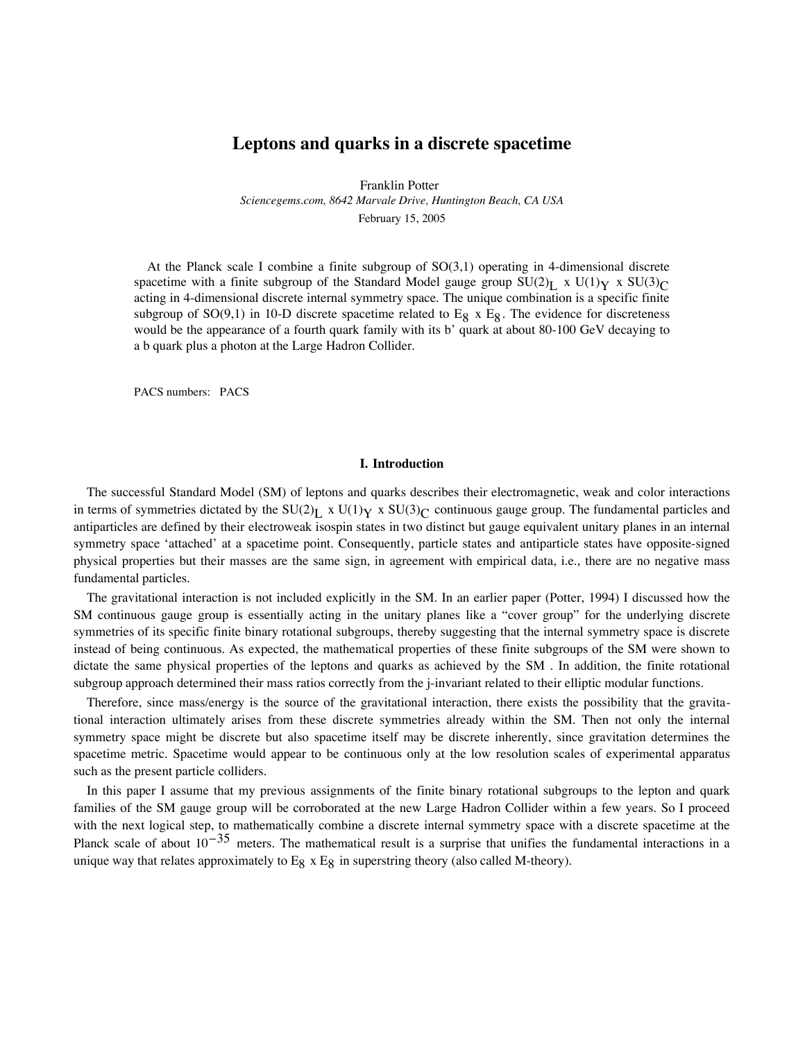# **Leptons and quarks in a discrete spacetime**

Franklin Potter *Sciencegems.com, 8642 Marvale Drive, Huntington Beach, CA USA* February 15, 2005

At the Planck scale I combine a finite subgroup of SO(3,1) operating in 4-dimensional discrete spacetime with a finite subgroup of the Standard Model gauge group  $SU(2)_L \times U(1)_Y \times SU(3)_C$ acting in 4-dimensional discrete internal symmetry space. The unique combination is a specific finite subgroup of  $SO(9,1)$  in 10-D discrete spacetime related to E<sub>8</sub> x E<sub>8</sub>. The evidence for discreteness would be the appearance of a fourth quark family with its b' quark at about 80-100 GeV decaying to a b quark plus a photon at the Large Hadron Collider.

PACS numbers: PACS

# **I. Introduction**

The successful Standard Model (SM) of leptons and quarks describes their electromagnetic, weak and color interactions in terms of symmetries dictated by the  $SU(2)_L$  x  $U(1)_Y$  x  $SU(3)_C$  continuous gauge group. The fundamental particles and antiparticles are defined by their electroweak isospin states in two distinct but gauge equivalent unitary planes in an internal symmetry space 'attached' at a spacetime point. Consequently, particle states and antiparticle states have opposite-signed physical properties but their masses are the same sign, in agreement with empirical data, i.e., there are no negative mass fundamental particles.

The gravitational interaction is not included explicitly in the SM. In an earlier paper (Potter, 1994) I discussed how the SM continuous gauge group is essentially acting in the unitary planes like a "cover group" for the underlying discrete symmetries of its specific finite binary rotational subgroups, thereby suggesting that the internal symmetry space is discrete instead of being continuous. As expected, the mathematical properties of these finite subgroups of the SM were shown to dictate the same physical properties of the leptons and quarks as achieved by the SM . In addition, the finite rotational subgroup approach determined their mass ratios correctly from the j-invariant related to their elliptic modular functions.

Therefore, since mass/energy is the source of the gravitational interaction, there exists the possibility that the gravitational interaction ultimately arises from these discrete symmetries already within the SM. Then not only the internal symmetry space might be discrete but also spacetime itself may be discrete inherently, since gravitation determines the spacetime metric. Spacetime would appear to be continuous only at the low resolution scales of experimental apparatus such as the present particle colliders.

In this paper I assume that my previous assignments of the finite binary rotational subgroups to the lepton and quark families of the SM gauge group will be corroborated at the new Large Hadron Collider within a few years. So I proceed with the next logical step, to mathematically combine a discrete internal symmetry space with a discrete spacetime at the Planck scale of about  $10^{-35}$  meters. The mathematical result is a surprise that unifies the fundamental interactions in a unique way that relates approximately to  $E_8$  x  $E_8$  in superstring theory (also called M-theory).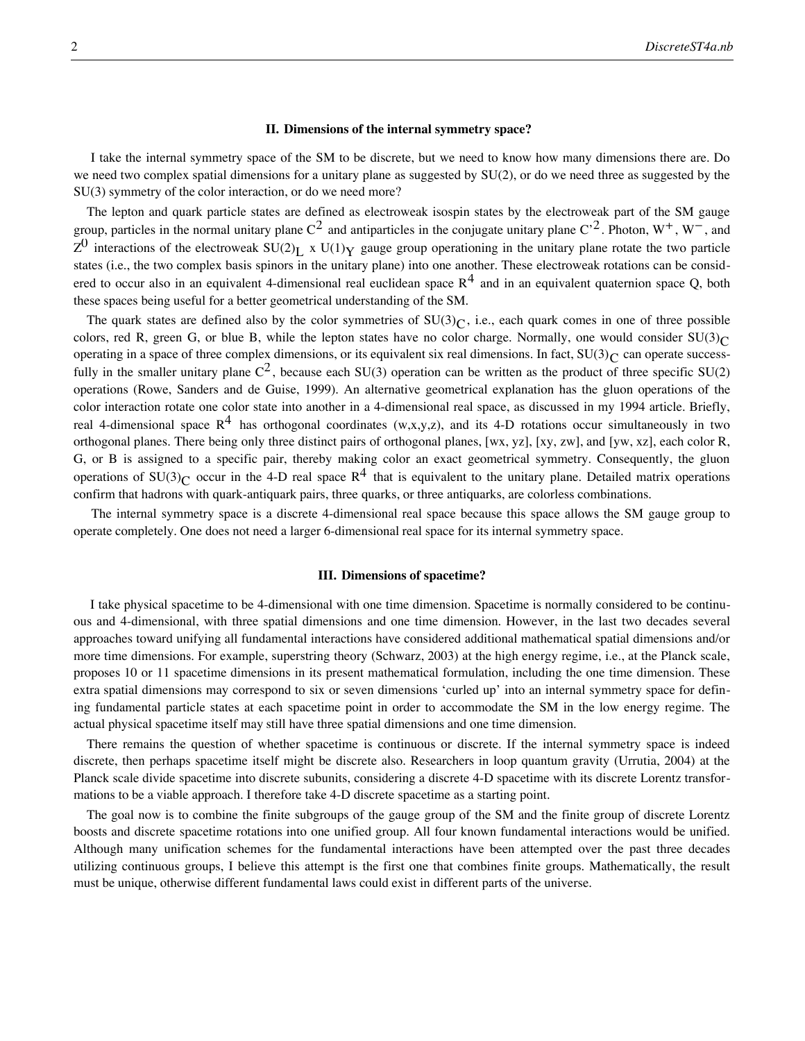# **II. Dimensions of the internal symmetry space?**

 I take the internal symmetry space of the SM to be discrete, but we need to know how many dimensions there are. Do we need two complex spatial dimensions for a unitary plane as suggested by SU(2), or do we need three as suggested by the SU(3) symmetry of the color interaction, or do we need more?

The lepton and quark particle states are defined as electroweak isospin states by the electroweak part of the SM gauge group, particles in the normal unitary plane  $C^2$  and antiparticles in the conjugate unitary plane  $C^2$ . Photon,  $W^+$ ,  $W^-$ , and  $Z^0$  interactions of the electroweak SU(2)<sub>L</sub> x U(1)<sub>Y</sub> gauge group operationing in the unitary plane rotate the two particle states (i.e., the two complex basis spinors in the unitary plane) into one another. These electroweak rotations can be considered to occur also in an equivalent 4-dimensional real euclidean space  $R^4$  and in an equivalent quaternion space Q, both these spaces being useful for a better geometrical understanding of the SM.

The quark states are defined also by the color symmetries of  $SU(3)<sub>C</sub>$ , i.e., each quark comes in one of three possible colors, red R, green G, or blue B, while the lepton states have no color charge. Normally, one would consider  $SU(3)<sub>C</sub>$ operating in a space of three complex dimensions, or its equivalent six real dimensions. In fact,  $SU(3)_C$  can operate successfully in the smaller unitary plane  $C^2$ , because each SU(3) operation can be written as the product of three specific SU(2) operations (Rowe, Sanders and de Guise, 1999). An alternative geometrical explanation has the gluon operations of the color interaction rotate one color state into another in a 4-dimensional real space, as discussed in my 1994 article. Briefly, real 4-dimensional space  $R^4$  has orthogonal coordinates (w,x,y,z), and its 4-D rotations occur simultaneously in two orthogonal planes. There being only three distinct pairs of orthogonal planes, [wx, yz], [xy, zw], and [yw, xz], each color R, G, or B is assigned to a specific pair, thereby making color an exact geometrical symmetry. Consequently, the gluon operations of SU(3)<sub>C</sub> occur in the 4-D real space R<sup>4</sup> that is equivalent to the unitary plane. Detailed matrix operations confirm that hadrons with quark-antiquark pairs, three quarks, or three antiquarks, are colorless combinations.

 The internal symmetry space is a discrete 4-dimensional real space because this space allows the SM gauge group to operate completely. One does not need a larger 6-dimensional real space for its internal symmetry space.

#### **III. Dimensions of spacetime?**

 I take physical spacetime to be 4-dimensional with one time dimension. Spacetime is normally considered to be continuous and 4-dimensional, with three spatial dimensions and one time dimension. However, in the last two decades several approaches toward unifying all fundamental interactions have considered additional mathematical spatial dimensions and/or more time dimensions. For example, superstring theory (Schwarz, 2003) at the high energy regime, i.e., at the Planck scale, proposes 10 or 11 spacetime dimensions in its present mathematical formulation, including the one time dimension. These extra spatial dimensions may correspond to six or seven dimensions 'curled up' into an internal symmetry space for defining fundamental particle states at each spacetime point in order to accommodate the SM in the low energy regime. The actual physical spacetime itself may still have three spatial dimensions and one time dimension.

There remains the question of whether spacetime is continuous or discrete. If the internal symmetry space is indeed discrete, then perhaps spacetime itself might be discrete also. Researchers in loop quantum gravity (Urrutia, 2004) at the Planck scale divide spacetime into discrete subunits, considering a discrete 4-D spacetime with its discrete Lorentz transformations to be a viable approach. I therefore take 4-D discrete spacetime as a starting point.

The goal now is to combine the finite subgroups of the gauge group of the SM and the finite group of discrete Lorentz boosts and discrete spacetime rotations into one unified group. All four known fundamental interactions would be unified. Although many unification schemes for the fundamental interactions have been attempted over the past three decades utilizing continuous groups, I believe this attempt is the first one that combines finite groups. Mathematically, the result must be unique, otherwise different fundamental laws could exist in different parts of the universe.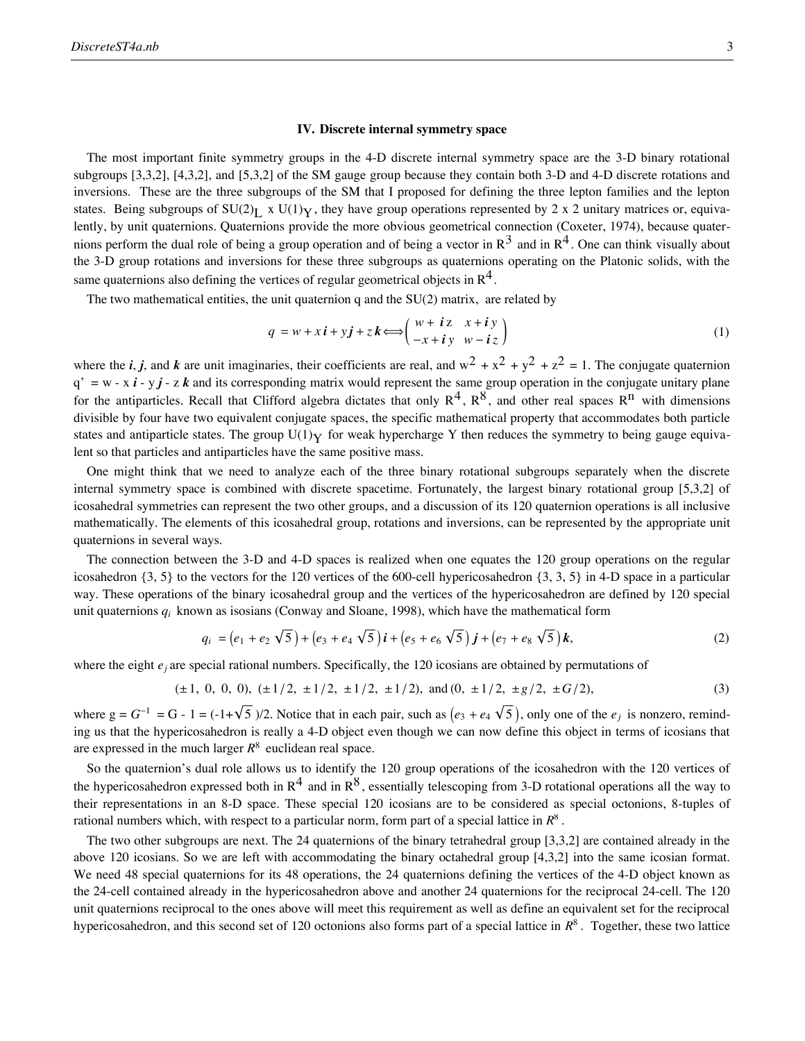# **IV. Discrete internal symmetry space**

The most important finite symmetry groups in the 4-D discrete internal symmetry space are the 3-D binary rotational subgroups [3,3,2], [4,3,2], and [5,3,2] of the SM gauge group because they contain both 3-D and 4-D discrete rotations and inversions. These are the three subgroups of the SM that I proposed for defining the three lepton families and the lepton states. Being subgroups of  $SU(2)_L$  x  $U(1)_Y$ , they have group operations represented by 2 x 2 unitary matrices or, equivalently, by unit quaternions. Quaternions provide the more obvious geometrical connection (Coxeter, 1974), because quaternions perform the dual role of being a group operation and of being a vector in  $R^3$  and in  $R^4$ . One can think visually about the 3-D group rotations and inversions for these three subgroups as quaternions operating on the Platonic solids, with the same quaternions also defining the vertices of regular geometrical objects in  $\mathbb{R}^4$ .

The two mathematical entities, the unit quaternion q and the  $SU(2)$  matrix, are related by

$$
q = w + xi + yj + zk \Longleftrightarrow \begin{pmatrix} w + iz & x + iy \\ -x + iy & w - iz \end{pmatrix}
$$
 (1)

where the *i*, *j*, and *k* are unit imaginaries, their coefficients are real, and  $w^2 + x^2 + y^2 + z^2 = 1$ . The conjugate quaternion  $q' = w - x i - y j - z k$  and its corresponding matrix would represent the same group operation in the conjugate unitary plane for the antiparticles. Recall that Clifford algebra dictates that only  $R^4$ ,  $R^8$ , and other real spaces  $R^n$  with dimensions divisible by four have two equivalent conjugate spaces, the specific mathematical property that accommodates both particle states and antiparticle states. The group  $U(1)\gamma$  for weak hypercharge Y then reduces the symmetry to being gauge equivalent so that particles and antiparticles have the same positive mass.

One might think that we need to analyze each of the three binary rotational subgroups separately when the discrete internal symmetry space is combined with discrete spacetime. Fortunately, the largest binary rotational group [5,3,2] of icosahedral symmetries can represent the two other groups, and a discussion of its 120 quaternion operations is all inclusive mathematically. The elements of this icosahedral group, rotations and inversions, can be represented by the appropriate unit quaternions in several ways.

The connection between the 3-D and 4-D spaces is realized when one equates the 120 group operations on the regular icosahedron  $\{3, 5\}$  to the vectors for the 120 vertices of the 600-cell hypericosahedron  $\{3, 3, 5\}$  in 4-D space in a particular way. These operations of the binary icosahedral group and the vertices of the hypericosahedron are defined by 120 special unit quaternions *qi* known as isosians (Conway and Sloane, 1998), which have the mathematical form

$$
q_i = (e_1 + e_2 \sqrt{5}) + (e_3 + e_4 \sqrt{5})i + (e_5 + e_6 \sqrt{5})j + (e_7 + e_8 \sqrt{5})k,
$$
\n(2)

where the eight  $e_j$  are special rational numbers. Specifically, the 120 icosians are obtained by permutations of

$$
(\pm 1, 0, 0, 0), (\pm 1/2, \pm 1/2, \pm 1/2, \pm 1/2), \text{ and } (0, \pm 1/2, \pm g/2, \pm G/2), \tag{3}
$$

where  $g = G^{-1} = G - 1 = (-1 + \sqrt{5})/2$ . Notice that in each pair, such as  $(e_3 + e_4 \sqrt{5})$ , only one of the  $e_j$  is nonzero, reminding us that the hypericosahedron is really a 4-D object even though we can now define this object in terms of icosians that are expressed in the much larger  $R^8$  euclidean real space.

So the quaternion's dual role allows us to identify the 120 group operations of the icosahedron with the 120 vertices of the hypericosahedron expressed both in  $R^4$  and in  $R^8$ , essentially telescoping from 3-D rotational operations all the way to their representations in an 8-D space. These special 120 icosians are to be considered as special octonions, 8-tuples of rational numbers which, with respect to a particular norm, form part of a special lattice in *R*<sup>8</sup> .

The two other subgroups are next. The 24 quaternions of the binary tetrahedral group [3,3,2] are contained already in the above 120 icosians. So we are left with accommodating the binary octahedral group [4,3,2] into the same icosian format. We need 48 special quaternions for its 48 operations, the 24 quaternions defining the vertices of the 4-D object known as the 24-cell contained already in the hypericosahedron above and another 24 quaternions for the reciprocal 24-cell. The 120 unit quaternions reciprocal to the ones above will meet this requirement as well as define an equivalent set for the reciprocal hypericosahedron, and this second set of 120 octonions also forms part of a special lattice in *R*<sup>8</sup> . Together, these two lattice

$$
E_8 \hspace{1.5cm} R^8
$$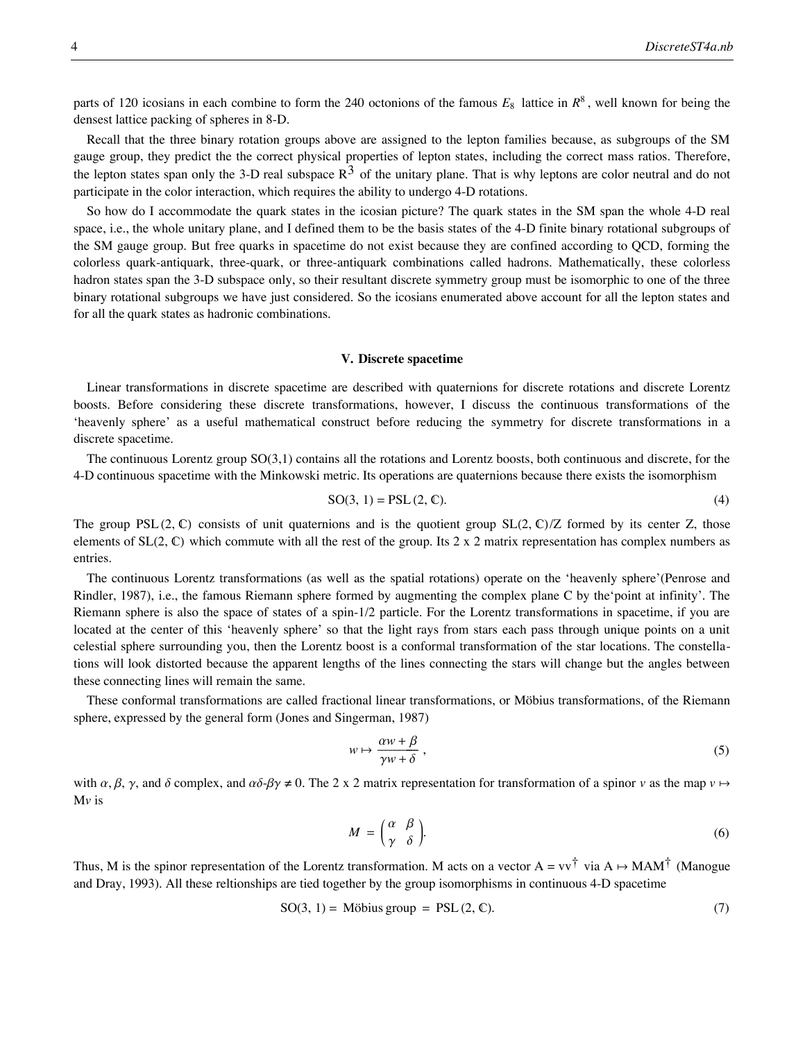$R^8$ 

parts of 120 icosians in each combine to form the 240 octonions of the famous  $E_8$  lattice in  $R^8$ , well known for being the densest lattice packing of spheres in 8-D.

Recall that the three binary rotation groups above are assigned to the lepton families because, as subgroups of the SM gauge group, they predict the the correct physical properties of lepton states, including the correct mass ratios. Therefore, the lepton states span only the 3-D real subspace  $R^3$  of the unitary plane. That is why leptons are color neutral and do not participate in the color interaction, which requires the ability to undergo 4-D rotations.

So how do I accommodate the quark states in the icosian picture? The quark states in the SM span the whole 4-D real space, i.e., the whole unitary plane, and I defined them to be the basis states of the 4-D finite binary rotational subgroups of the SM gauge group. But free quarks in spacetime do not exist because they are confined according to QCD, forming the colorless quark-antiquark, three-quark, or three-antiquark combinations called hadrons. Mathematically, these colorless hadron states span the 3-D subspace only, so their resultant discrete symmetry group must be isomorphic to one of the three binary rotational subgroups we have just considered. So the icosians enumerated above account for all the lepton states and for all the quark states as hadronic combinations.

#### **V. Discrete spacetime**

Linear transformations in discrete spacetime are described with quaternions for discrete rotations and discrete Lorentz boosts. Before considering these discrete transformations, however, I discuss the continuous transformations of the 'heavenly sphere' as a useful mathematical construct before reducing the symmetry for discrete transformations in a discrete spacetime.

The continuous Lorentz group SO(3,1) contains all the rotations and Lorentz boosts, both continuous and discrete, for the 4-D continuous spacetime with the Minkowski metric. Its operations are quaternions because there exists the isomorphism

$$
SO(3, 1) = PSL(2, \mathbb{C}).
$$
 (4)

The group PSL  $(2, \mathbb{C})$  consists of unit quaternions and is the quotient group SL $(2, \mathbb{C})$ /Z formed by its center Z, those elements of  $SL(2, \mathbb{C})$  which commute with all the rest of the group. Its 2 x 2 matrix representation has complex numbers as entries.

The continuous Lorentz transformations (as well as the spatial rotations) operate on the 'heavenly sphere'(Penrose and Rindler, 1987), i.e., the famous Riemann sphere formed by augmenting the complex plane C by the'point at infinity'. The Riemann sphere is also the space of states of a spin-1/2 particle. For the Lorentz transformations in spacetime, if you are located at the center of this 'heavenly sphere' so that the light rays from stars each pass through unique points on a unit celestial sphere surrounding you, then the Lorentz boost is a conformal transformation of the star locations. The constellations will look distorted because the apparent lengths of the lines connecting the stars will change but the angles between these connecting lines will remain the same.

These conformal transformations are called fractional linear transformations, or Möbius transformations, of the Riemann sphere, expressed by the general form (Jones and Singerman, 1987)

$$
w \mapsto \frac{\alpha w + \beta}{\gamma w + \delta} \,, \tag{5}
$$

with  $\alpha$ ,  $\beta$ ,  $\gamma$ , and  $\delta$  complex, and  $\alpha\delta$ - $\beta\gamma \neq 0$ . The 2 x 2 matrix representation for transformation of a spinor *v* as the map  $\nu \mapsto$ M*v* is

$$
M = \begin{pmatrix} \alpha & \beta \\ \gamma & \delta \end{pmatrix}.
$$
 (6)

Thus, M is the spinor representation of the Lorentz transformation. M acts on a vector  $A = vv^{\dagger}$  via  $A \mapsto MAM^{\dagger}$  (Manogue and Dray, 1993). All these reltionships are tied together by the group isomorphisms in continuous 4-D spacetime

$$
SO(3, 1) = Möbius group = PSL(2, \mathbb{C}).
$$
\n(7)

Discrete spacetime has discrete Lorentz transformations, not continuous ones. These discrete rotations and discrete Lorentz transformations are contained already in SO(3,1), and they tesselate the Riemann sphere. That is, they form regular polygons on its surface that correspond to the discrete symmetries of the binary tetrahedral, binary octahedral, and binary icosahedral rotation groups [3,3,2], [4,3,2], and [5,3,2], the same groups I used in the internal symmetry space for the discrete symmetries. Therefore, the 240 quaternions defined previously are required also for the discrete rotations and discrete Lorentz transformations in the discrete 4-D spacetime. Again, there are the same 240 icosian connections to octonions in  $R^8$  to form a second  $E_8$  lattice.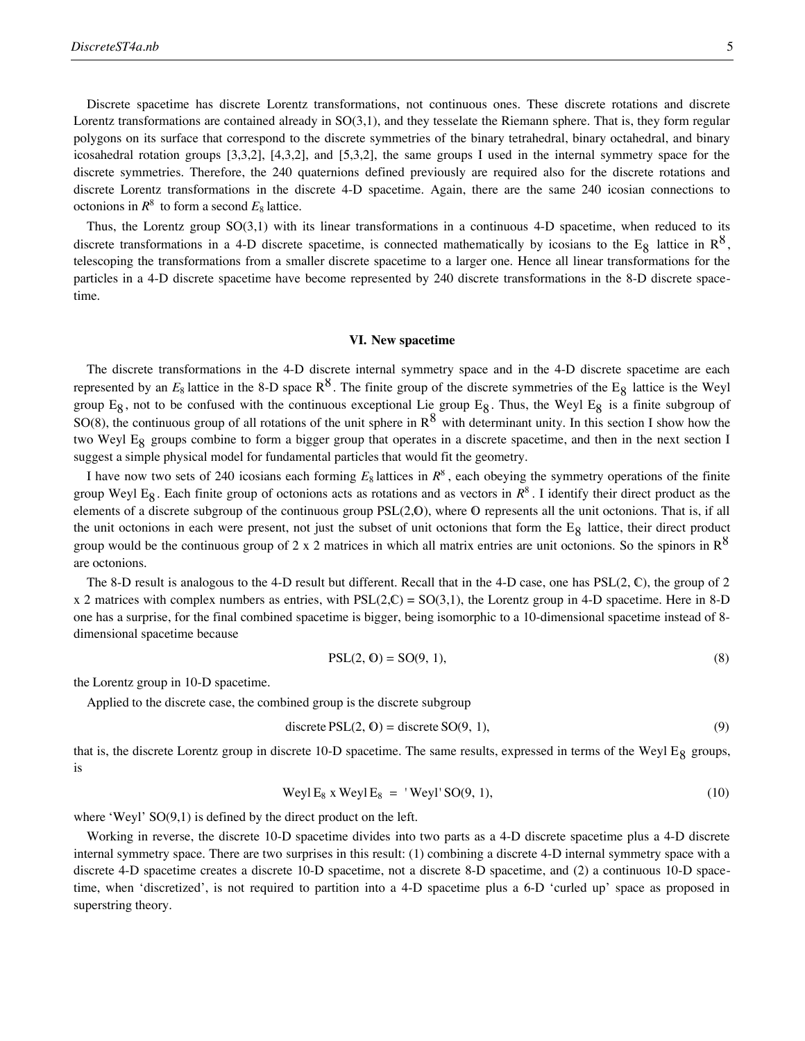Discrete spacetime has discrete Lorentz transformations, not continuous ones. These discrete rotations and discrete Lorentz transformations are contained already in SO(3,1), and they tesselate the Riemann sphere. That is, they form regular polygons on its surface that correspond to the discrete symmetries of the binary tetrahedral, binary octahedral, and binary icosahedral rotation groups [3,3,2], [4,3,2], and [5,3,2], the same groups I used in the internal symmetry space for the discrete symmetries. Therefore, the 240 quaternions defined previously are required also for the discrete rotations and discrete Lorentz transformations in the discrete 4-D spacetime. Again, there are the same 240 icosian connections to octonions in  $R^8$  to form a second  $E_8$  lattice.

Thus, the Lorentz group SO(3,1) with its linear transformations in a continuous 4-D spacetime, when reduced to its discrete transformations in a 4-D discrete spacetime, is connected mathematically by icosians to the E<sub>8</sub> lattice in  $R^8$ , telescoping the transformations from a smaller discrete spacetime to a larger one. Hence all linear transformations for the particles in a 4-D discrete spacetime have become represented by 240 discrete transformations in the 8-D discrete spacetime.

# **VI. New spacetime**

The discrete transformations in the 4-D discrete internal symmetry space and in the 4-D discrete spacetime are each represented by an  $E_8$  lattice in the 8-D space  $R^8$ . The finite group of the discrete symmetries of the E<sub>8</sub> lattice is the Weyl group E<sub>8</sub>, not to be confused with the continuous exceptional Lie group E<sub>8</sub>. Thus, the Weyl E<sub>8</sub> is a finite subgroup of SO(8), the continuous group of all rotations of the unit sphere in  $R^8$  with determinant unity. In this section I show how the two Weyl E8 groups combine to form a bigger group that operates in a discrete spacetime, and then in the next section I suggest a simple physical model for fundamental particles that would fit the geometry.

I have now two sets of 240 icosians each forming  $E_8$  lattices in  $R^8$ , each obeying the symmetry operations of the finite group Weyl E<sub>8</sub>. Each finite group of octonions acts as rotations and as vectors in  $R^8$ . I identify their direct product as the elements of a discrete subgroup of the continuous group  $PSL(2,0)$ , where  $\sigma$  represents all the unit octonions. That is, if all the unit octonions in each were present, not just the subset of unit octonions that form the  $E_8$  lattice, their direct product group would be the continuous group of 2 x 2 matrices in which all matrix entries are unit octonions. So the spinors in  $R^8$ are octonions.

The 8-D result is analogous to the 4-D result but different. Recall that in the 4-D case, one has  $PSL(2, \mathbb{C})$ , the group of 2  $x$  2 matrices with complex numbers as entries, with PSL(2,C) = SO(3,1), the Lorentz group in 4-D spacetime. Here in 8-D one has a surprise, for the final combined spacetime is bigger, being isomorphic to a 10-dimensional spacetime instead of 8 dimensional spacetime because

$$
PSL(2, 0) = SO(9, 1),
$$
\n(8)

the Lorentz group in 10-D spacetime.

Applied to the discrete case, the combined group is the discrete subgroup

discrete 
$$
PSL(2, 0) =
$$
 discrete  $SO(9, 1)$ , (9)

that is, the discrete Lorentz group in discrete 10-D spacetime. The same results, expressed in terms of the Weyl  $E_8$  groups, is

$$
Weyl E_8 x Weyl E_8 = 'Weyl'SO(9, 1), \qquad (10)
$$

where 'Weyl'  $SO(9,1)$  is defined by the direct product on the left.

Working in reverse, the discrete 10-D spacetime divides into two parts as a 4-D discrete spacetime plus a 4-D discrete internal symmetry space. There are two surprises in this result: (1) combining a discrete 4-D internal symmetry space with a discrete 4-D spacetime creates a discrete 10-D spacetime, not a discrete 8-D spacetime, and (2) a continuous 10-D spacetime, when 'discretized', is not required to partition into a 4-D spacetime plus a 6-D 'curled up' space as proposed in superstring theory.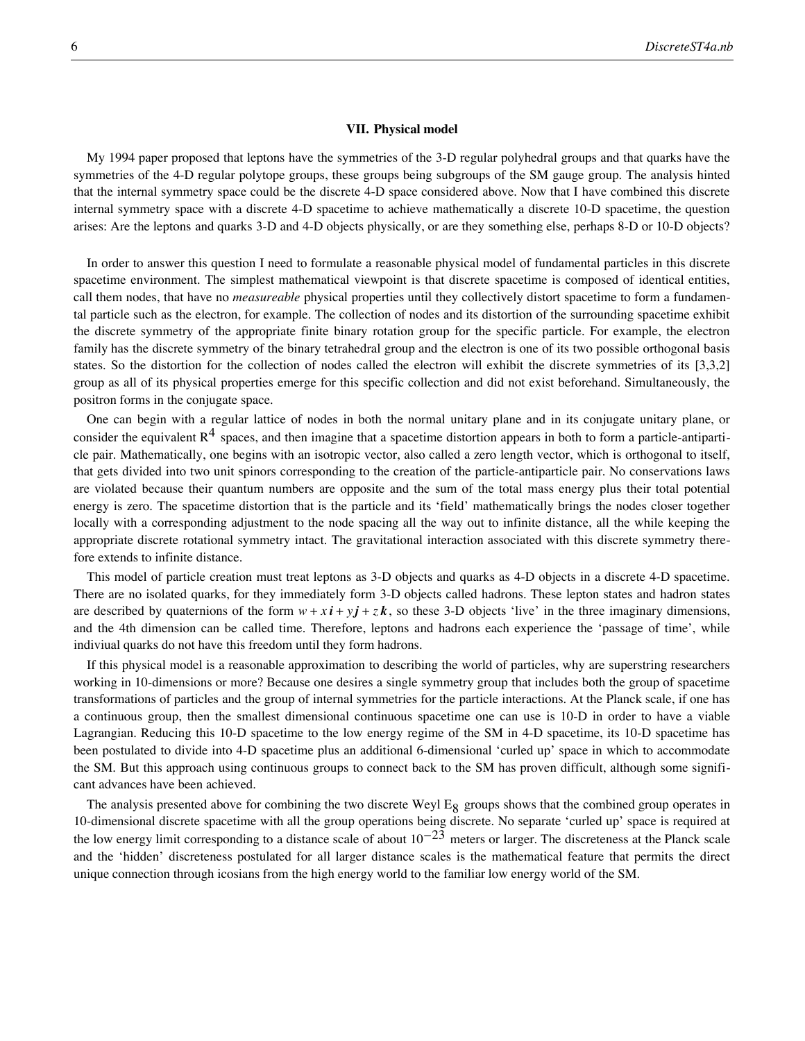# **VII. Physical model**

My 1994 paper proposed that leptons have the symmetries of the 3-D regular polyhedral groups and that quarks have the symmetries of the 4-D regular polytope groups, these groups being subgroups of the SM gauge group. The analysis hinted that the internal symmetry space could be the discrete 4-D space considered above. Now that I have combined this discrete internal symmetry space with a discrete 4-D spacetime to achieve mathematically a discrete 10-D spacetime, the question arises: Are the leptons and quarks 3-D and 4-D objects physically, or are they something else, perhaps 8-D or 10-D objects?

In order to answer this question I need to formulate a reasonable physical model of fundamental particles in this discrete spacetime environment. The simplest mathematical viewpoint is that discrete spacetime is composed of identical entities, call them nodes, that have no *measureable* physical properties until they collectively distort spacetime to form a fundamental particle such as the electron, for example. The collection of nodes and its distortion of the surrounding spacetime exhibit the discrete symmetry of the appropriate finite binary rotation group for the specific particle. For example, the electron family has the discrete symmetry of the binary tetrahedral group and the electron is one of its two possible orthogonal basis states. So the distortion for the collection of nodes called the electron will exhibit the discrete symmetries of its [3,3,2] group as all of its physical properties emerge for this specific collection and did not exist beforehand. Simultaneously, the positron forms in the conjugate space.

One can begin with a regular lattice of nodes in both the normal unitary plane and in its conjugate unitary plane, or consider the equivalent  $R^4$  spaces, and then imagine that a spacetime distortion appears in both to form a particle-antiparticle pair. Mathematically, one begins with an isotropic vector, also called a zero length vector, which is orthogonal to itself, that gets divided into two unit spinors corresponding to the creation of the particle-antiparticle pair. No conservations laws are violated because their quantum numbers are opposite and the sum of the total mass energy plus their total potential energy is zero. The spacetime distortion that is the particle and its 'field' mathematically brings the nodes closer together locally with a corresponding adjustment to the node spacing all the way out to infinite distance, all the while keeping the appropriate discrete rotational symmetry intact. The gravitational interaction associated with this discrete symmetry therefore extends to infinite distance.

This model of particle creation must treat leptons as 3-D objects and quarks as 4-D objects in a discrete 4-D spacetime. There are no isolated quarks, for they immediately form 3-D objects called hadrons. These lepton states and hadron states are described by quaternions of the form  $w + x\mathbf{i} + y\mathbf{j} + z\mathbf{k}$ , so these 3-D objects 'live' in the three imaginary dimensions, and the 4th dimension can be called time. Therefore, leptons and hadrons each experience the 'passage of time', while indiviual quarks do not have this freedom until they form hadrons.

If this physical model is a reasonable approximation to describing the world of particles, why are superstring researchers working in 10-dimensions or more? Because one desires a single symmetry group that includes both the group of spacetime transformations of particles and the group of internal symmetries for the particle interactions. At the Planck scale, if one has a continuous group, then the smallest dimensional continuous spacetime one can use is 10-D in order to have a viable Lagrangian. Reducing this 10-D spacetime to the low energy regime of the SM in 4-D spacetime, its 10-D spacetime has been postulated to divide into 4-D spacetime plus an additional 6-dimensional 'curled up' space in which to accommodate the SM. But this approach using continuous groups to connect back to the SM has proven difficult, although some significant advances have been achieved.

The analysis presented above for combining the two discrete Weyl  $E_8$  groups shows that the combined group operates in 10-dimensional discrete spacetime with all the group operations being discrete. No separate 'curled up' space is required at the low energy limit corresponding to a distance scale of about  $10^{-23}$  meters or larger. The discreteness at the Planck scale and the 'hidden' discreteness postulated for all larger distance scales is the mathematical feature that permits the direct unique connection through icosians from the high energy world to the familiar low energy world of the SM.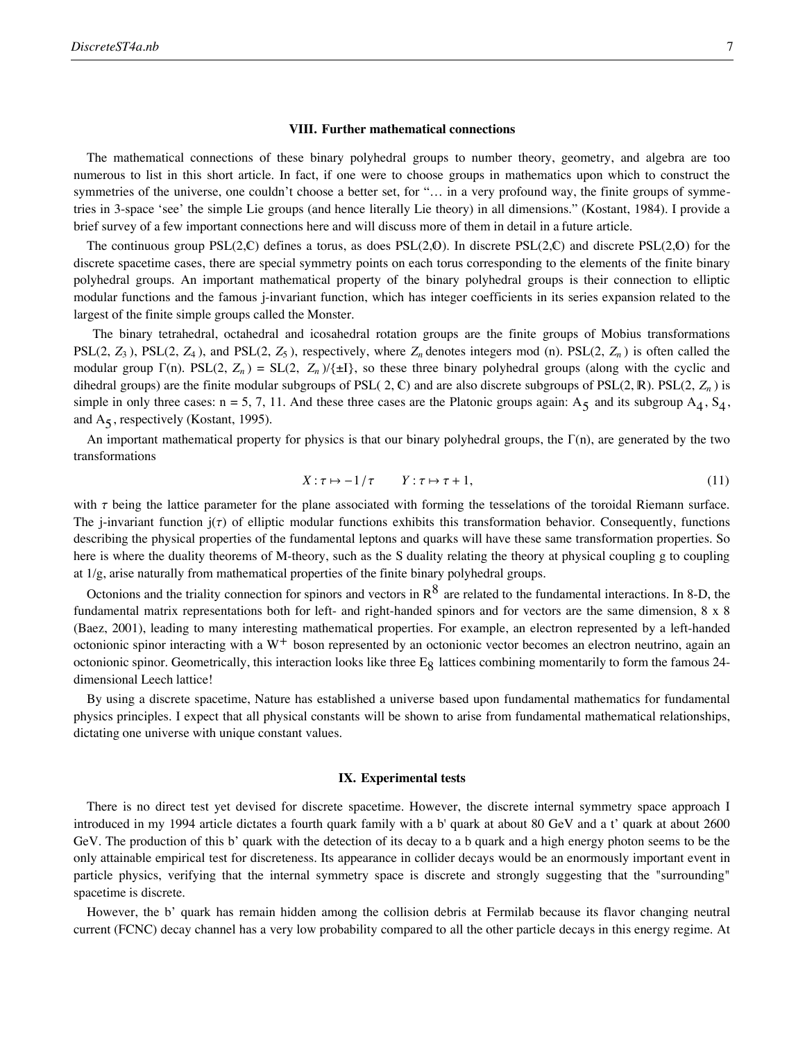### **VIII. Further mathematical connections**

The mathematical connections of these binary polyhedral groups to number theory, geometry, and algebra are too numerous to list in this short article. In fact, if one were to choose groups in mathematics upon which to construct the symmetries of the universe, one couldn't choose a better set, for "... in a very profound way, the finite groups of symmetries in 3-space 'see' the simple Lie groups (and hence literally Lie theory) in all dimensions." (Kostant, 1984). I provide a brief survey of a few important connections here and will discuss more of them in detail in a future article.

The continuous group  $PSL(2,\mathbb{C})$  defines a torus, as does  $PSL(2,\mathbb{O})$ . In discrete  $PSL(2,\mathbb{C})$  and discrete  $PSL(2,\mathbb{O})$  for the discrete spacetime cases, there are special symmetry points on each torus corresponding to the elements of the finite binary polyhedral groups. An important mathematical property of the binary polyhedral groups is their connection to elliptic modular functions and the famous j-invariant function, which has integer coefficients in its series expansion related to the largest of the finite simple groups called the Monster.

 The binary tetrahedral, octahedral and icosahedral rotation groups are the finite groups of Mobius transformations  $PSL(2, Z_3)$ ,  $PSL(2, Z_4)$ , and  $PSL(2, Z_5)$ , respectively, where  $Z_n$  denotes integers mod (n).  $PSL(2, Z_n)$  is often called the modular group  $\Gamma(n)$ . PSL(2,  $Z_n$ ) = SL(2,  $Z_n$ )/{ $\pm$ I}, so these three binary polyhedral groups (along with the cyclic and dihedral groups) are the finite modular subgroups of PSL( 2,  $\mathbb{C}$ ) and are also discrete subgroups of PSL(2,  $\mathbb{R}$ ). PSL(2,  $Z_n$ ) is simple in only three cases: n = 5, 7, 11. And these three cases are the Platonic groups again:  $A_5$  and its subgroup  $A_4$ ,  $S_4$ , and  $A_5$ , respectively (Kostant, 1995).

An important mathematical property for physics is that our binary polyhedral groups, the  $\Gamma(n)$ , are generated by the two transformations

$$
X: \tau \mapsto -1/\tau \qquad Y: \tau \mapsto \tau + 1,\tag{11}
$$

with  $\tau$  being the lattice parameter for the plane associated with forming the tesselations of the toroidal Riemann surface. The j-invariant function  $j(\tau)$  of elliptic modular functions exhibits this transformation behavior. Consequently, functions describing the physical properties of the fundamental leptons and quarks will have these same transformation properties. So here is where the duality theorems of M-theory, such as the S duality relating the theory at physical coupling g to coupling at 1/g, arise naturally from mathematical properties of the finite binary polyhedral groups.

Octonions and the triality connection for spinors and vectors in  $R^8$  are related to the fundamental interactions. In 8-D, the fundamental matrix representations both for left- and right-handed spinors and for vectors are the same dimension, 8 x 8 (Baez, 2001), leading to many interesting mathematical properties. For example, an electron represented by a left-handed octonionic spinor interacting with a  $W<sup>+</sup>$  boson represented by an octonionic vector becomes an electron neutrino, again an octonionic spinor. Geometrically, this interaction looks like three E<sub>8</sub> lattices combining momentarily to form the famous 24dimensional Leech lattice!

By using a discrete spacetime, Nature has established a universe based upon fundamental mathematics for fundamental physics principles. I expect that all physical constants will be shown to arise from fundamental mathematical relationships, dictating one universe with unique constant values.

# **IX. Experimental tests**

There is no direct test yet devised for discrete spacetime. However, the discrete internal symmetry space approach I introduced in my 1994 article dictates a fourth quark family with a b' quark at about 80 GeV and a t' quark at about 2600 GeV. The production of this b' quark with the detection of its decay to a b quark and a high energy photon seems to be the only attainable empirical test for discreteness. Its appearance in collider decays would be an enormously important event in particle physics, verifying that the internal symmetry space is discrete and strongly suggesting that the "surrounding" spacetime is discrete.

However, the b' quark has remain hidden among the collision debris at Fermilab because its flavor changing neutral current (FCNC) decay channel has a very low probability compared to all the other particle decays in this energy regime. At